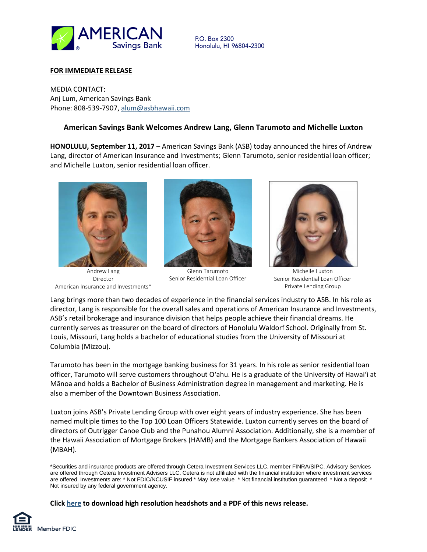

P.O. Box 2300 Honolulu, HI 96804-2300

## **FOR IMMEDIATE RELEASE**

MEDIA CONTACT: Anj Lum, American Savings Bank Phone: 808-539-7907[, alum@asbhawaii.com](mailto:alum@asbhawaii.com)

## **American Savings Bank Welcomes Andrew Lang, Glenn Tarumoto and Michelle Luxton**

**HONOLULU, September 11, 2017** – American Savings Bank (ASB) today announced the hires of Andrew Lang, director of American Insurance and Investments; Glenn Tarumoto, senior residential loan officer; and Michelle Luxton, senior residential loan officer.



Andrew Lang Director American Insurance and Investments\*



Glenn Tarumoto Senior Residential Loan Officer



Michelle Luxton Senior Residential Loan Officer Private Lending Group

Lang brings more than two decades of experience in the financial services industry to ASB. In his role as director, Lang is responsible for the overall sales and operations of American Insurance and Investments, ASB's retail brokerage and insurance division that helps people achieve their financial dreams. He currently serves as treasurer on the board of directors of Honolulu Waldorf School. Originally from St. Louis, Missouri, Lang holds a bachelor of educational studies from the University of Missouri at Columbia (Mizzou).

Tarumoto has been in the mortgage banking business for 31 years. In his role as senior residential loan officer, Tarumoto will serve customers throughout O'ahu. He is a graduate of the University of Hawai'i at Mānoa and holds a Bachelor of Business Administration degree in management and marketing. He is also a member of the Downtown Business Association.

Luxton joins ASB's Private Lending Group with over eight years of industry experience. She has been named multiple times to the Top 100 Loan Officers Statewide. Luxton currently serves on the board of directors of Outrigger Canoe Club and the Punahou Alumni Association. Additionally, she is a member of the Hawaii Association of Mortgage Brokers (HAMB) and the Mortgage Bankers Association of Hawaii (MBAH).

\*Securities and insurance products are offered through Cetera Investment Services LLC, member FINRA/SIPC. Advisory Services are offered through Cetera Investment Advisers LLC. Cetera is not affiliated with the financial institution where investment services are offered. Investments are: \* Not FDIC/NCUSIF insured \* May lose value \* Not financial institution guaranteed \* Not a deposit \* Not insured by any federal government agency.

## **Clic[k here](https://drive.google.com/open?id=0B_XmLXBklFwETDJWQkZ4TWtKeHc) to download high resolution headshots and a PDF of this news release.**